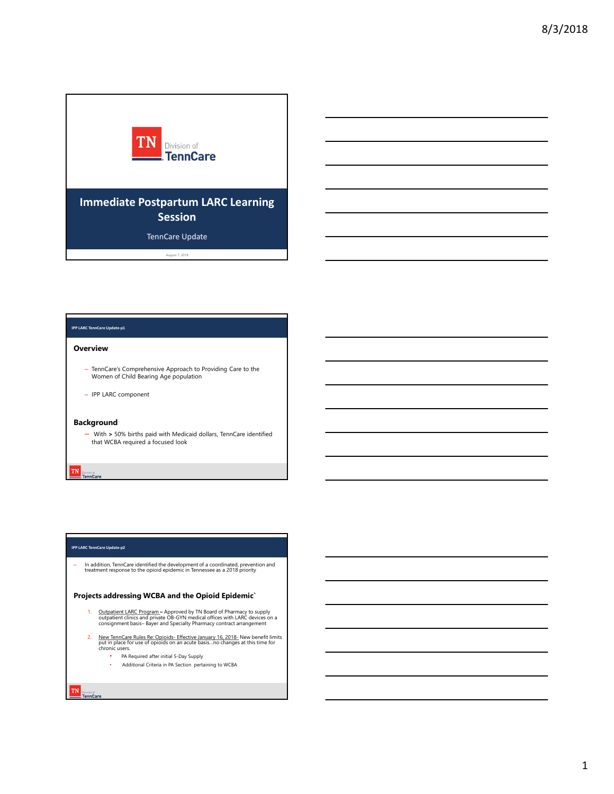

### IPP LARC TennCare Update-p1

### **Overview**

- TennCare's Comprehensive Approach to Providing Care to the Women of Child Bearing Age population
- IPP LARC component

### Background

– With > 50% births paid with Medicaid dollars, TennCare identified that WCBA required a focused look

#### IPP LARC TennCare Update-p2

– In addition, TennCare identified the development of a coordinated, prevention and treatment response to the opioid epidemic in Tennessee as a 2018 priority

# Projects addressing WCBA and the Opioid Epidemic`

- 1. Outpatient LARC Program Approved by TN Board of Pharmacy to supply outpatient clinics and private OB-GYN medical offices with LARC devices on a Construction Comparison in Approach to Providing Care to the<br>
Whenever of Collections pair and Modelland dollars, Tomatian dominated<br>
Value 2. New York Pharmace are recovered that<br>
Whenever and Specialty Pharmace are recov
- 2. New TennCare Rules Re: Opioids Effective January 16, 2018 New benefit limits put in place for use of opioids on an acute basis...no changes at this time for chronic users.
	- PA Required after initial 5-Day Supply
	- Additional Criteria in PA Section pertaining to WCBA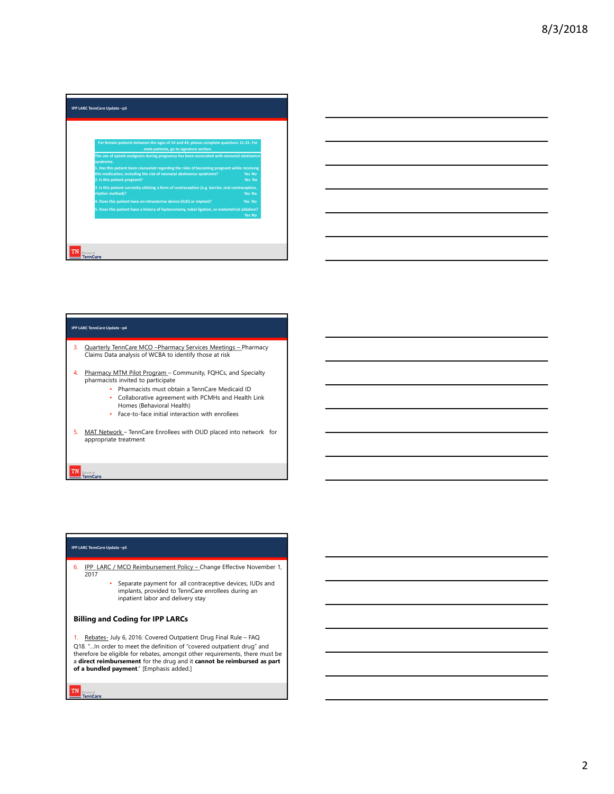



#### IPP LARC TennCare Update –p4

- Quarterly TennCare MCO -Pharmacy Services Meetings Pharmacy<br>Claims Data analysis of WCBA to identify those at risk
- 4. Pharmacy MTM Pilot Program Community, FQHCs, and Specialty pharmacists invited to participate
	- Pharmacists must obtain a TennCare Medicaid ID
	- Collaborative agreement with PCMHs and Health Link Homes (Behavioral Health)
	- Face-to-face initial interaction with enrollees
- appropriate treatment

### IPP LARC TennCare Update –p5

- 2017
- Figure 1994 and Continues and Continues Continues of the strategy and Control Control of Control Control Control Control Control Control Control Control Control Control Control Control Control Control Control Control Cont • Separate payment for all contraceptive devices, IUDs and implants, provided to TennCare enrollees during an inpatient labor and delivery stay

## Billing and Coding for IPP LARCs

2. Promotion the control of the covered outpatient with the control of the covered outpatient of the covered OUC phone of the covered CU of the covered CU of the covered CU of the covered CU of the covered CU of the covere ... In order to meet the definition of "covered outpatient drug" and<br>Q18. "...In order to meet the definition of "covered outpatient drug" and<br>therefore be eligible for rebates, amongst other requirements, there must be a direct reimbursement for the drug and it cannot be reimbursed as part of a bundled payment." [Emphasis added.]